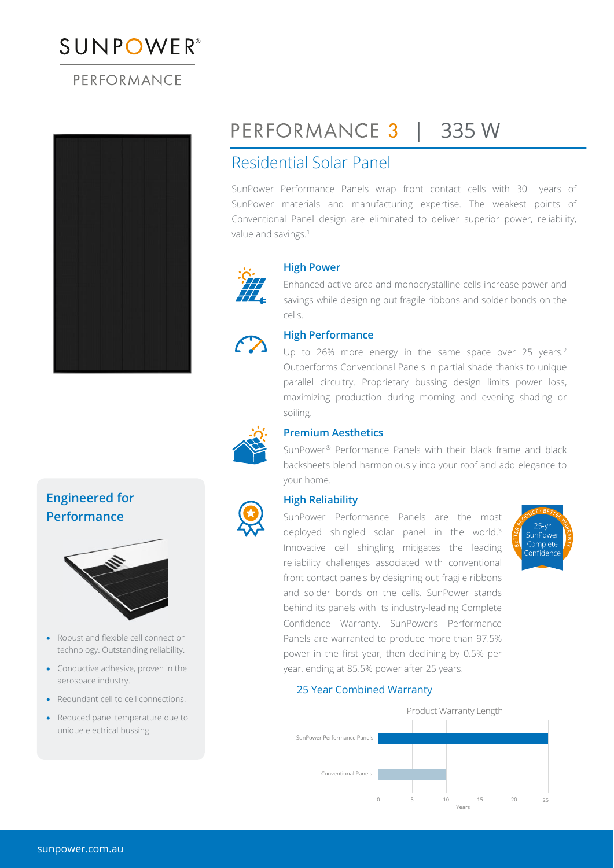# $\mathcal{L} = \mathcal{L}$

### PERFORMANCE



## PERFORMANCE 3 |

## | 335 W

## Residential Solar Panel

SunPower Performance Panels wrap front contact cells with 30+ years of SunPower materials and manufacturing expertise. The weakest points of Conventional Panel design are eliminated to deliver superior power, reliability, value and savings.<sup>1</sup>



#### **High Power**

Enhanced active area and monocrystalline cells increase power and savings while designing out fragile ribbons and solder bonds on the cells.



#### **High Performance**

Up to 26% more energy in the same space over 25 years.<sup>2</sup> Outperforms Conventional Panels in partial shade thanks to unique parallel circuitry. Proprietary bussing design limits power loss, maximizing production during morning and evening shading or soiling.



#### **Premium Aesthetics**

SunPower® Performance Panels with their black frame and black backsheets blend harmoniously into your roof and add elegance to your home.

#### **High Reliability**

SunPower Performance Panels are the most deployed shingled solar panel in the world.<sup>3</sup> Innovative cell shingling mitigates the leading reliability challenges associated with conventional front contact panels by designing out fragile ribbons and solder bonds on the cells. SunPower stands behind its panels with its industry-leading Complete Confidence Warranty. SunPower's Performance Panels are warranted to produce more than 97.5% power in the first year, then declining by 0.5% per year, ending at 85.5% power after 25 years.



Complete onfidenc

#### 25 Year Combined Warranty



### **Engineered for Performance**



- Robust and flexible cell connection technology. Outstanding reliability.
- Conductive adhesive, proven in the aerospace industry.
- Redundant cell to cell connections.
- Reduced panel temperature due to unique electrical bussing.